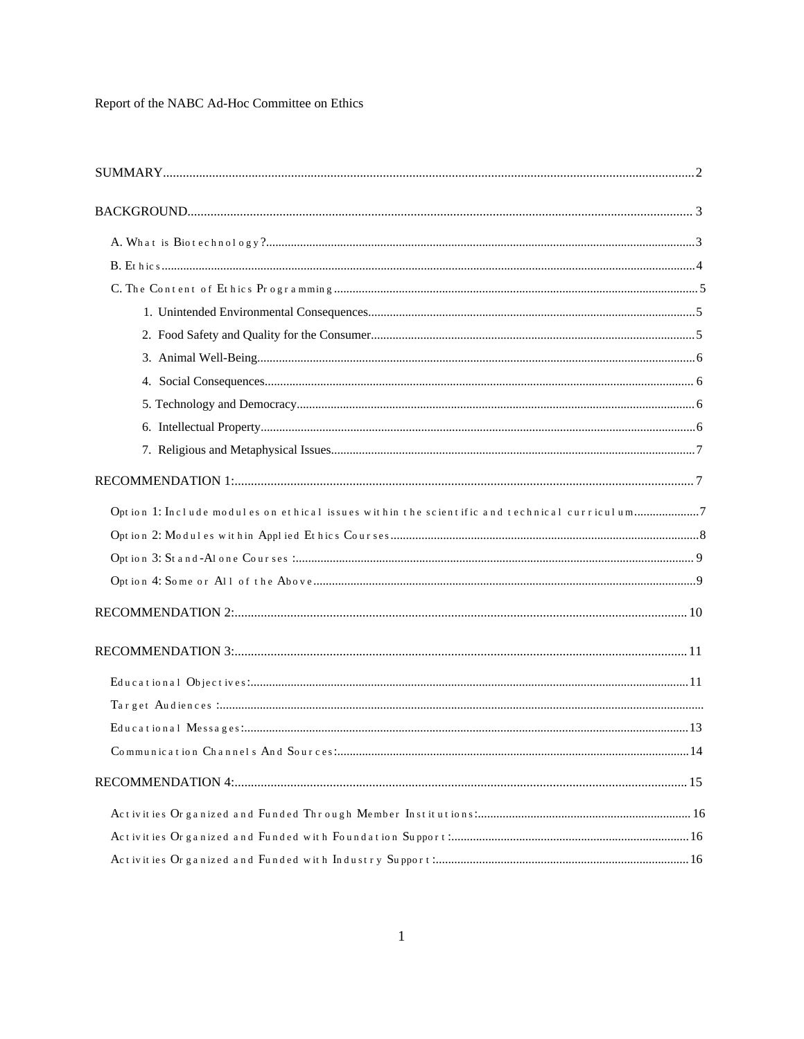Report of the NABC Ad-Hoc Committee on Ethics

| Option 1: Include modules on ethical issues within the scientific and technical curriculum7 |    |
|---------------------------------------------------------------------------------------------|----|
|                                                                                             |    |
|                                                                                             |    |
|                                                                                             |    |
|                                                                                             |    |
|                                                                                             |    |
|                                                                                             |    |
|                                                                                             |    |
|                                                                                             |    |
| Communication Channels And Sources:                                                         | 14 |
|                                                                                             |    |
|                                                                                             |    |
|                                                                                             |    |
|                                                                                             |    |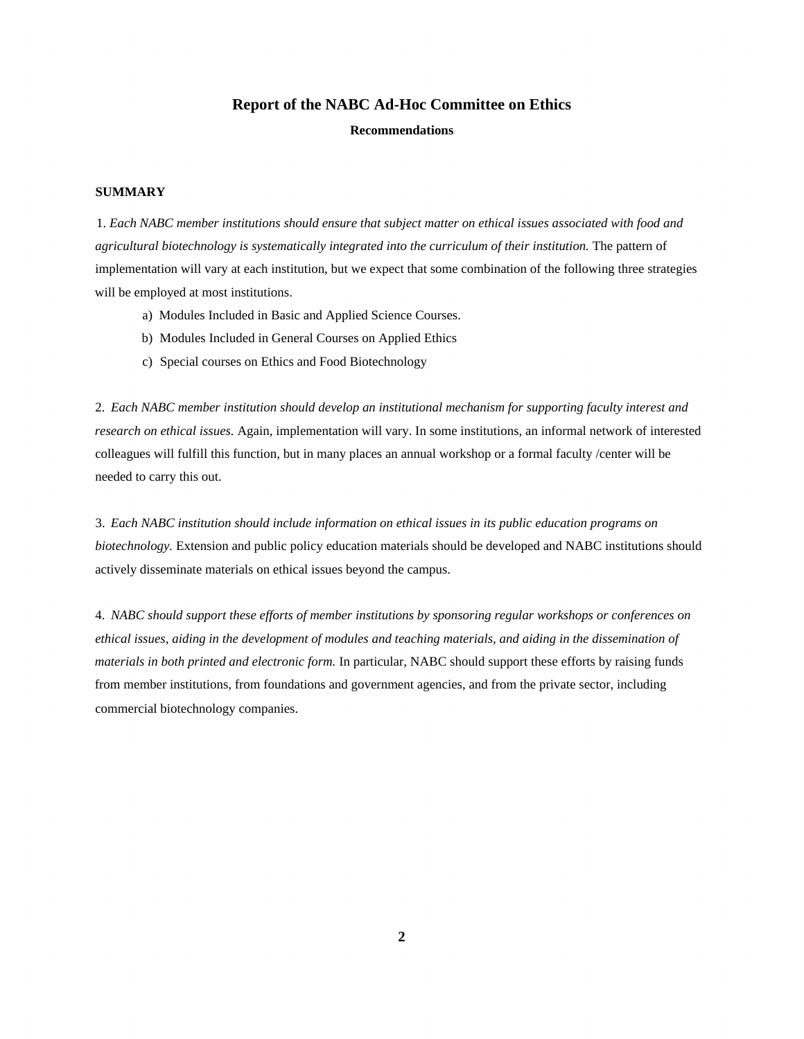# **Report of the NABC Ad-Hoc Committee on Ethics**

**Recommendations**

# **SUMMARY**

1. *Each NABC member institutions should ensure that subject matter on ethical issues associated with food and agricultural biotechnology is systematically integrated into the curriculum of their institution.* The pattern of implementation will vary at each institution, but we expect that some combination of the following three strategies will be employed at most institutions.

- a) Modules Included in Basic and Applied Science Courses.
- b) Modules Included in General Courses on Applied Ethics
- c) Special courses on Ethics and Food Biotechnology

2. *Each NABC member institution should develop an institutional mechanism for supporting faculty interest and research on ethical issues.* Again, implementation will vary. In some institutions, an informal network of interested colleagues will fulfill this function, but in many places an annual workshop or a formal faculty /center will be needed to carry this out.

3. *Each NABC institution should include information on ethical issues in its public education programs on biotechnology.* Extension and public policy education materials should be developed and NABC institutions should actively disseminate materials on ethical issues beyond the campus.

4. *NABC should support these efforts of member institutions by sponsoring regular workshops or conferences on ethical issues, aiding in the development of modules and teaching materials, and aiding in the dissemination of materials in both printed and electronic form.* In particular, NABC should support these efforts by raising funds from member institutions, from foundations and government agencies, and from the private sector, including commercial biotechnology companies.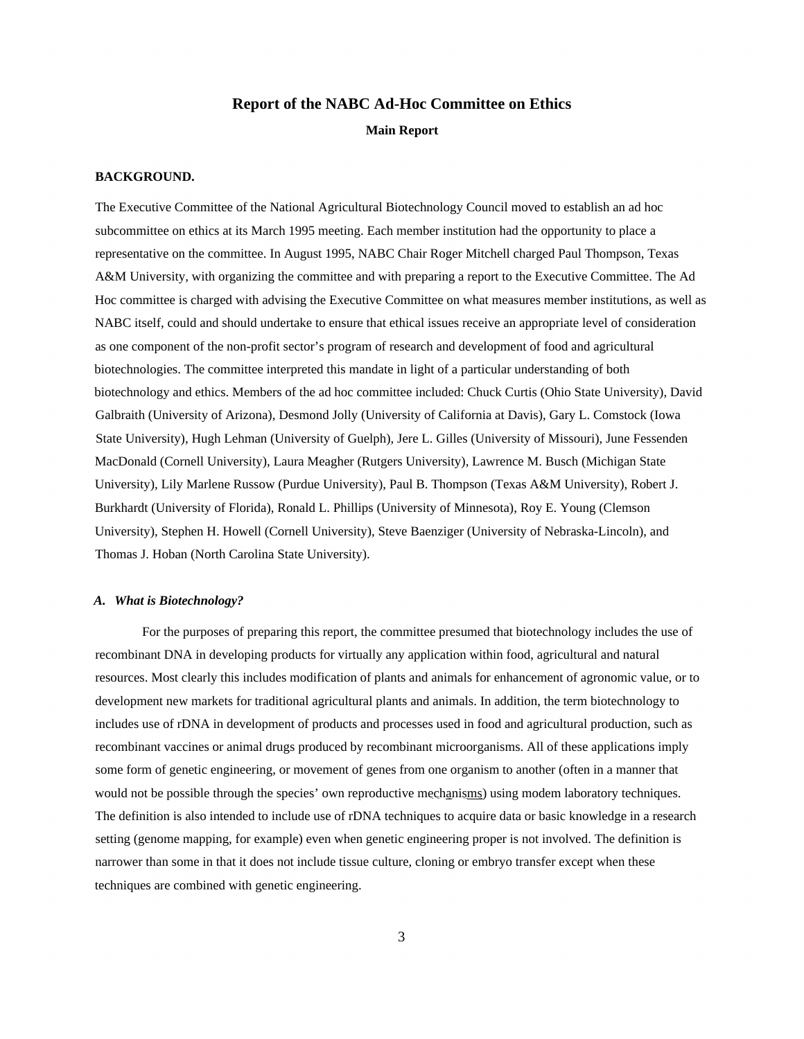# **Report of the NABC Ad-Hoc Committee on Ethics Main Report**

# **BACKGROUND.**

The Executive Committee of the National Agricultural Biotechnology Council moved to establish an ad hoc subcommittee on ethics at its March 1995 meeting. Each member institution had the opportunity to place a representative on the committee. In August 1995, NABC Chair Roger Mitchell charged Paul Thompson, Texas A&M University, with organizing the committee and with preparing a report to the Executive Committee. The Ad Hoc committee is charged with advising the Executive Committee on what measures member institutions, as well as NABC itself, could and should undertake to ensure that ethical issues receive an appropriate level of consideration as one component of the non-profit sector's program of research and development of food and agricultural biotechnologies. The committee interpreted this mandate in light of a particular understanding of both biotechnology and ethics. Members of the ad hoc committee included: Chuck Curtis (Ohio State University), David Galbraith (University of Arizona), Desmond Jolly (University of California at Davis), Gary L. Comstock (Iowa State University), Hugh Lehman (University of Guelph), Jere L. Gilles (University of Missouri), June Fessenden MacDonald (Cornell University), Laura Meagher (Rutgers University), Lawrence M. Busch (Michigan State University), Lily Marlene Russow (Purdue University), Paul B. Thompson (Texas A&M University), Robert J. Burkhardt (University of Florida), Ronald L. Phillips (University of Minnesota), Roy E. Young (Clemson University), Stephen H. Howell (Cornell University), Steve Baenziger (University of Nebraska-Lincoln), and Thomas J. Hoban (North Carolina State University).

# *A. What is Biotechnology?*

For the purposes of preparing this report, the committee presumed that biotechnology includes the use of recombinant DNA in developing products for virtually any application within food, agricultural and natural resources. Most clearly this includes modification of plants and animals for enhancement of agronomic value, or to development new markets for traditional agricultural plants and animals. In addition, the term biotechnology to includes use of rDNA in development of products and processes used in food and agricultural production, such as recombinant vaccines or animal drugs produced by recombinant microorganisms. All of these applications imply some form of genetic engineering, or movement of genes from one organism to another (often in a manner that would not be possible through the species' own reproductive mechanisms) using modem laboratory techniques. The definition is also intended to include use of rDNA techniques to acquire data or basic knowledge in a research setting (genome mapping, for example) even when genetic engineering proper is not involved. The definition is narrower than some in that it does not include tissue culture, cloning or embryo transfer except when these techniques are combined with genetic engineering.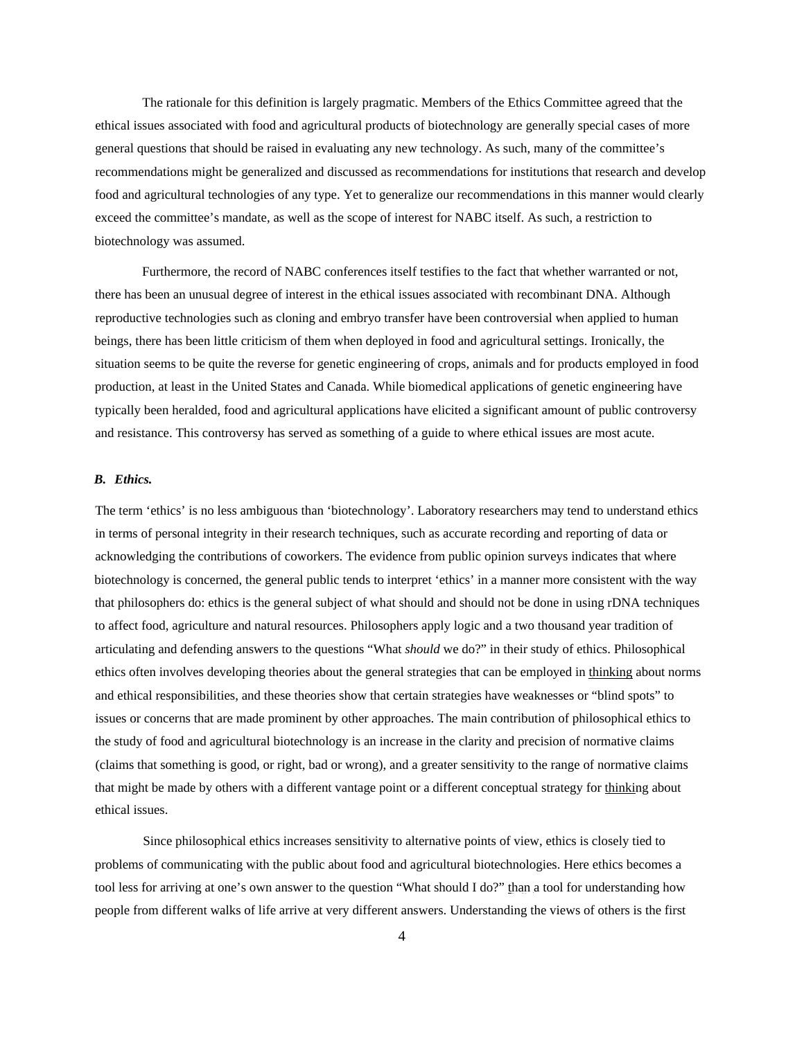The rationale for this definition is largely pragmatic. Members of the Ethics Committee agreed that the ethical issues associated with food and agricultural products of biotechnology are generally special cases of more general questions that should be raised in evaluating any new technology. As such, many of the committee's recommendations might be generalized and discussed as recommendations for institutions that research and develop food and agricultural technologies of any type. Yet to generalize our recommendations in this manner would clearly exceed the committee's mandate, as well as the scope of interest for NABC itself. As such, a restriction to biotechnology was assumed.

Furthermore, the record of NABC conferences itself testifies to the fact that whether warranted or not, there has been an unusual degree of interest in the ethical issues associated with recombinant DNA. Although reproductive technologies such as cloning and embryo transfer have been controversial when applied to human beings, there has been little criticism of them when deployed in food and agricultural settings. Ironically, the situation seems to be quite the reverse for genetic engineering of crops, animals and for products employed in food production, at least in the United States and Canada. While biomedical applications of genetic engineering have typically been heralded, food and agricultural applications have elicited a significant amount of public controversy and resistance. This controversy has served as something of a guide to where ethical issues are most acute.

## *B. Ethics.*

The term 'ethics' is no less ambiguous than 'biotechnology'. Laboratory researchers may tend to understand ethics in terms of personal integrity in their research techniques, such as accurate recording and reporting of data or acknowledging the contributions of coworkers. The evidence from public opinion surveys indicates that where biotechnology is concerned, the general public tends to interpret 'ethics' in a manner more consistent with the way that philosophers do: ethics is the general subject of what should and should not be done in using rDNA techniques to affect food, agriculture and natural resources. Philosophers apply logic and a two thousand year tradition of articulating and defending answers to the questions "What *should* we do?" in their study of ethics. Philosophical ethics often involves developing theories about the general strategies that can be employed in thinking about norms and ethical responsibilities, and these theories show that certain strategies have weaknesses or "blind spots" to issues or concerns that are made prominent by other approaches. The main contribution of philosophical ethics to the study of food and agricultural biotechnology is an increase in the clarity and precision of normative claims (claims that something is good, or right, bad or wrong), and a greater sensitivity to the range of normative claims that might be made by others with a different vantage point or a different conceptual strategy for thinking about ethical issues.

Since philosophical ethics increases sensitivity to alternative points of view, ethics is closely tied to problems of communicating with the public about food and agricultural biotechnologies. Here ethics becomes a tool less for arriving at one's own answer to the question "What should I do?" than a tool for understanding how people from different walks of life arrive at very different answers. Understanding the views of others is the first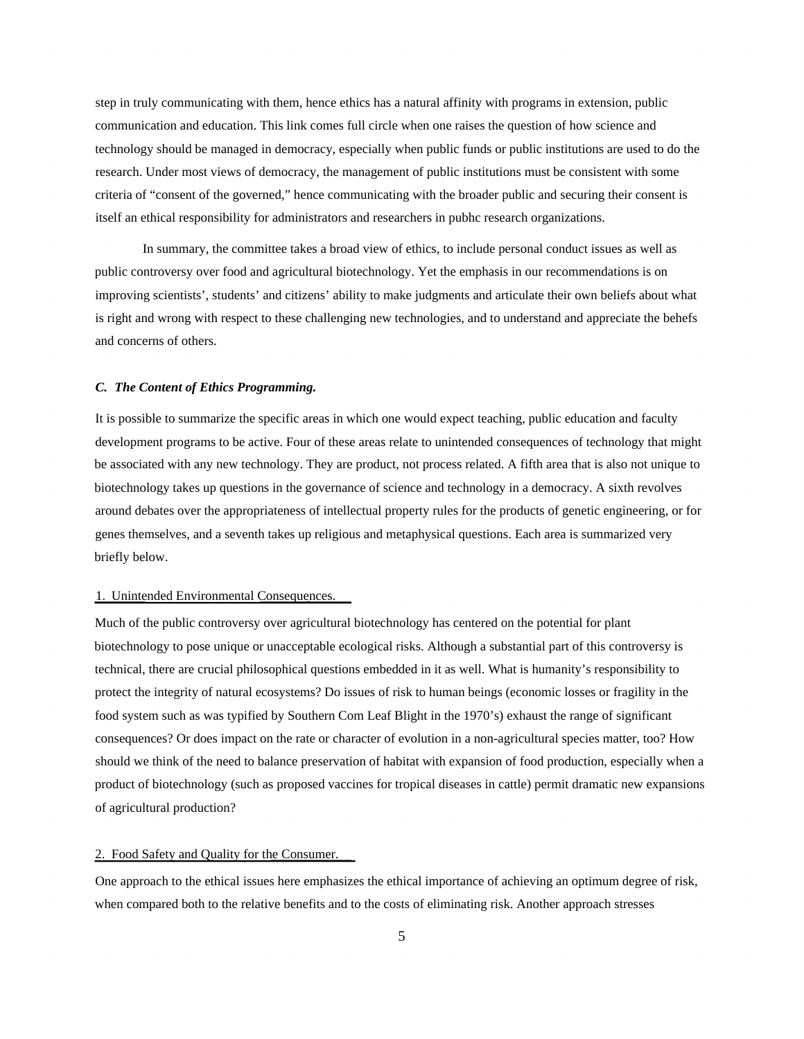step in truly communicating with them, hence ethics has a natural affinity with programs in extension, public communication and education. This link comes full circle when one raises the question of how science and technology should be managed in democracy, especially when public funds or public institutions are used to do the research. Under most views of democracy, the management of public institutions must be consistent with some criteria of "consent of the governed," hence communicating with the broader public and securing their consent is itself an ethical responsibility for administrators and researchers in pubhc research organizations.

In summary, the committee takes a broad view of ethics, to include personal conduct issues as well as public controversy over food and agricultural biotechnology. Yet the emphasis in our recommendations is on improving scientists', students' and citizens' ability to make judgments and articulate their own beliefs about what is right and wrong with respect to these challenging new technologies, and to understand and appreciate the behefs and concerns of others.

# *C. The Content of Ethics Programming.*

It is possible to summarize the specific areas in which one would expect teaching, public education and faculty development programs to be active. Four of these areas relate to unintended consequences of technology that might be associated with any new technology. They are product, not process related. A fifth area that is also not unique to biotechnology takes up questions in the governance of science and technology in a democracy. A sixth revolves around debates over the appropriateness of intellectual property rules for the products of genetic engineering, or for genes themselves, and a seventh takes up religious and metaphysical questions. Each area is summarized very briefly below.

# 1. Unintended Environmental Consequences.

Much of the public controversy over agricultural biotechnology has centered on the potential for plant biotechnology to pose unique or unacceptable ecological risks. Although a substantial part of this controversy is technical, there are crucial philosophical questions embedded in it as well. What is humanity's responsibility to protect the integrity of natural ecosystems? Do issues of risk to human beings (economic losses or fragility in the food system such as was typified by Southern Com Leaf Blight in the 1970's) exhaust the range of significant consequences? Or does impact on the rate or character of evolution in a non-agricultural species matter, too? How should we think of the need to balance preservation of habitat with expansion of food production, especially when a product of biotechnology (such as proposed vaccines for tropical diseases in cattle) permit dramatic new expansions of agricultural production?

# 2. Food Safety and Quality for the Consumer.

One approach to the ethical issues here emphasizes the ethical importance of achieving an optimum degree of risk, when compared both to the relative benefits and to the costs of eliminating risk. Another approach stresses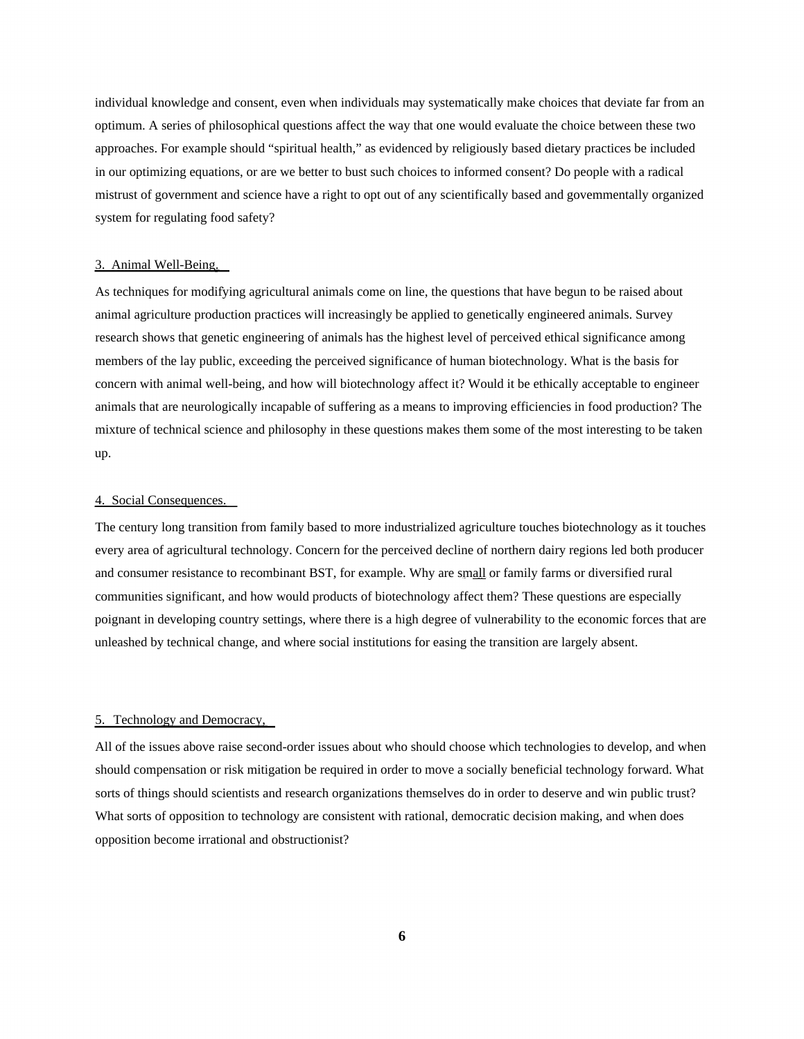individual knowledge and consent, even when individuals may systematically make choices that deviate far from an optimum. A series of philosophical questions affect the way that one would evaluate the choice between these two approaches. For example should "spiritual health," as evidenced by religiously based dietary practices be included in our optimizing equations, or are we better to bust such choices to informed consent? Do people with a radical mistrust of government and science have a right to opt out of any scientifically based and govemmentally organized system for regulating food safety?

# 3. Animal Well-Being.

As techniques for modifying agricultural animals come on line, the questions that have begun to be raised about animal agriculture production practices will increasingly be applied to genetically engineered animals. Survey research shows that genetic engineering of animals has the highest level of perceived ethical significance among members of the lay public, exceeding the perceived significance of human biotechnology. What is the basis for concern with animal well-being, and how will biotechnology affect it? Would it be ethically acceptable to engineer animals that are neurologically incapable of suffering as a means to improving efficiencies in food production? The mixture of technical science and philosophy in these questions makes them some of the most interesting to be taken up.

# 4. Social Consequences.

The century long transition from family based to more industrialized agriculture touches biotechnology as it touches every area of agricultural technology. Concern for the perceived decline of northern dairy regions led both producer and consumer resistance to recombinant BST, for example. Why are small or family farms or diversified rural communities significant, and how would products of biotechnology affect them? These questions are especially poignant in developing country settings, where there is a high degree of vulnerability to the economic forces that are unleashed by technical change, and where social institutions for easing the transition are largely absent.

# 5. Technology and Democracy,

All of the issues above raise second-order issues about who should choose which technologies to develop, and when should compensation or risk mitigation be required in order to move a socially beneficial technology forward. What sorts of things should scientists and research organizations themselves do in order to deserve and win public trust? What sorts of opposition to technology are consistent with rational, democratic decision making, and when does opposition become irrational and obstructionist?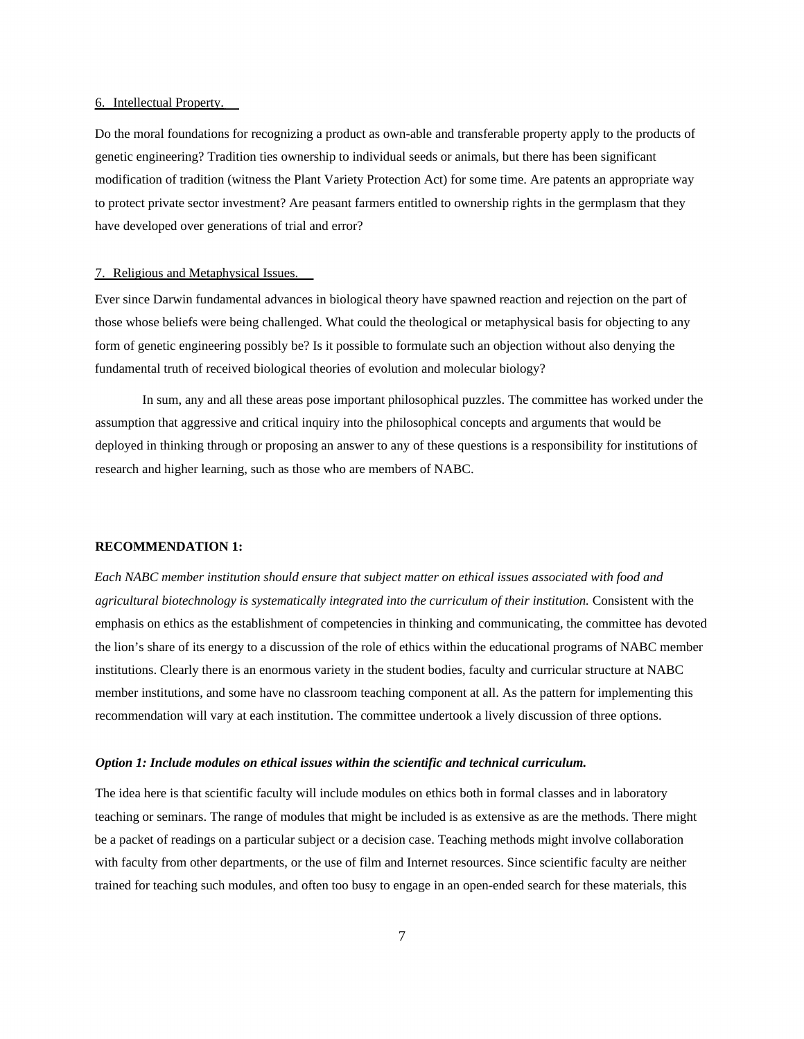# 6. Intellectual Property.

Do the moral foundations for recognizing a product as own-able and transferable property apply to the products of genetic engineering? Tradition ties ownership to individual seeds or animals, but there has been significant modification of tradition (witness the Plant Variety Protection Act) for some time. Are patents an appropriate way to protect private sector investment? Are peasant farmers entitled to ownership rights in the germplasm that they have developed over generations of trial and error?

# 7. Religious and Metaphysical Issues.

Ever since Darwin fundamental advances in biological theory have spawned reaction and rejection on the part of those whose beliefs were being challenged. What could the theological or metaphysical basis for objecting to any form of genetic engineering possibly be? Is it possible to formulate such an objection without also denying the fundamental truth of received biological theories of evolution and molecular biology?

In sum, any and all these areas pose important philosophical puzzles. The committee has worked under the assumption that aggressive and critical inquiry into the philosophical concepts and arguments that would be deployed in thinking through or proposing an answer to any of these questions is a responsibility for institutions of research and higher learning, such as those who are members of NABC.

#### **RECOMMENDATION 1:**

*Each NABC member institution should ensure that subject matter on ethical issues associated with food and agricultural biotechnology is systematically integrated into the curriculum of their institution.* Consistent with the emphasis on ethics as the establishment of competencies in thinking and communicating, the committee has devoted the lion's share of its energy to a discussion of the role of ethics within the educational programs of NABC member institutions. Clearly there is an enormous variety in the student bodies, faculty and curricular structure at NABC member institutions, and some have no classroom teaching component at all. As the pattern for implementing this recommendation will vary at each institution. The committee undertook a lively discussion of three options.

#### *Option 1: Include modules on ethical issues within the scientific and technical curriculum.*

The idea here is that scientific faculty will include modules on ethics both in formal classes and in laboratory teaching or seminars. The range of modules that might be included is as extensive as are the methods. There might be a packet of readings on a particular subject or a decision case. Teaching methods might involve collaboration with faculty from other departments, or the use of film and Internet resources. Since scientific faculty are neither trained for teaching such modules, and often too busy to engage in an open-ended search for these materials, this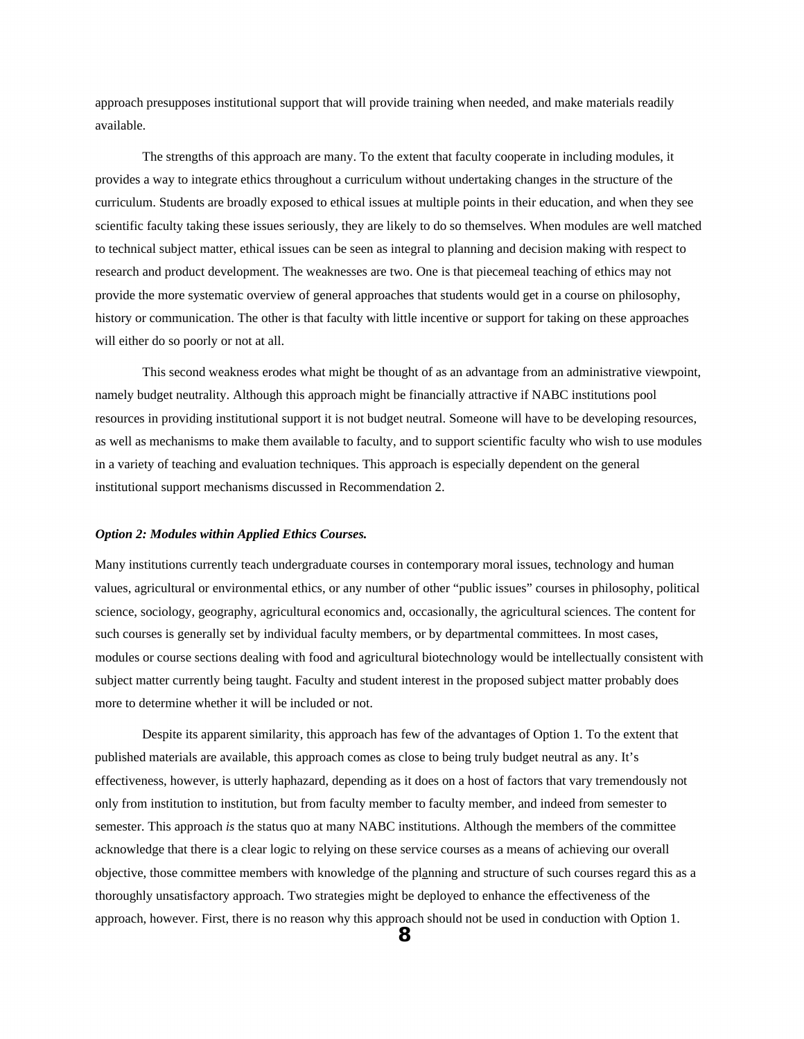approach presupposes institutional support that will provide training when needed, and make materials readily available.

The strengths of this approach are many. To the extent that faculty cooperate in including modules, it provides a way to integrate ethics throughout a curriculum without undertaking changes in the structure of the curriculum. Students are broadly exposed to ethical issues at multiple points in their education, and when they see scientific faculty taking these issues seriously, they are likely to do so themselves. When modules are well matched to technical subject matter, ethical issues can be seen as integral to planning and decision making with respect to research and product development. The weaknesses are two. One is that piecemeal teaching of ethics may not provide the more systematic overview of general approaches that students would get in a course on philosophy, history or communication. The other is that faculty with little incentive or support for taking on these approaches will either do so poorly or not at all.

This second weakness erodes what might be thought of as an advantage from an administrative viewpoint, namely budget neutrality. Although this approach might be financially attractive if NABC institutions pool resources in providing institutional support it is not budget neutral. Someone will have to be developing resources, as well as mechanisms to make them available to faculty, and to support scientific faculty who wish to use modules in a variety of teaching and evaluation techniques. This approach is especially dependent on the general institutional support mechanisms discussed in Recommendation 2.

# *Option 2: Modules within Applied Ethics Courses.*

Many institutions currently teach undergraduate courses in contemporary moral issues, technology and human values, agricultural or environmental ethics, or any number of other "public issues" courses in philosophy, political science, sociology, geography, agricultural economics and, occasionally, the agricultural sciences. The content for such courses is generally set by individual faculty members, or by departmental committees. In most cases, modules or course sections dealing with food and agricultural biotechnology would be intellectually consistent with subject matter currently being taught. Faculty and student interest in the proposed subject matter probably does more to determine whether it will be included or not.

Despite its apparent similarity, this approach has few of the advantages of Option 1. To the extent that published materials are available, this approach comes as close to being truly budget neutral as any. It's effectiveness, however, is utterly haphazard, depending as it does on a host of factors that vary tremendously not only from institution to institution, but from faculty member to faculty member, and indeed from semester to semester. This approach *is* the status quo at many NABC institutions. Although the members of the committee acknowledge that there is a clear logic to relying on these service courses as a means of achieving our overall objective, those committee members with knowledge of the planning and structure of such courses regard this as a thoroughly unsatisfactory approach. Two strategies might be deployed to enhance the effectiveness of the approach, however. First, there is no reason why this approach should not be used in conduction with Option 1.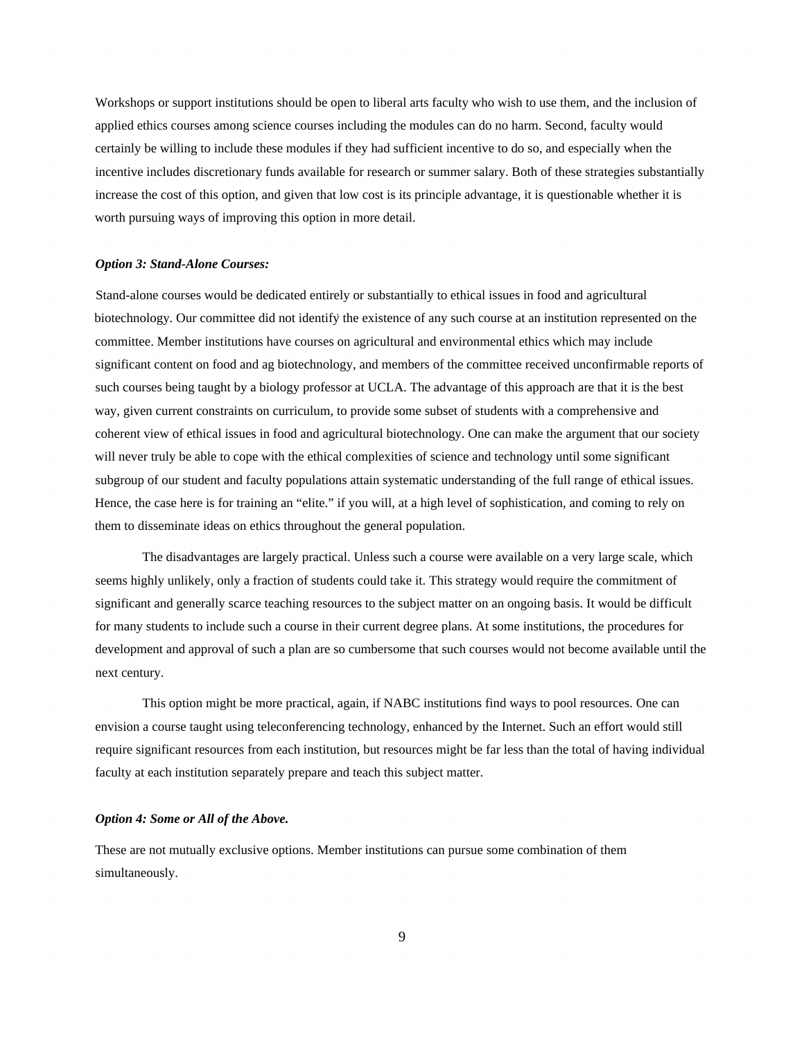Workshops or support institutions should be open to liberal arts faculty who wish to use them, and the inclusion of applied ethics courses among science courses including the modules can do no harm. Second, faculty would certainly be willing to include these modules if they had sufficient incentive to do so, and especially when the incentive includes discretionary funds available for research or summer salary. Both of these strategies substantially increase the cost of this option, and given that low cost is its principle advantage, it is questionable whether it is worth pursuing ways of improving this option in more detail.

# *Option 3: Stand-Alone Courses:*

Stand-alone courses would be dedicated entirely or substantially to ethical issues in food and agricultural biotechnology. Our committee did not identify the existence of any such course at an institution represented on the committee. Member institutions have courses on agricultural and environmental ethics which may include significant content on food and ag biotechnology, and members of the committee received unconfirmable reports of such courses being taught by a biology professor at UCLA. The advantage of this approach are that it is the best way, given current constraints on curriculum, to provide some subset of students with a comprehensive and coherent view of ethical issues in food and agricultural biotechnology. One can make the argument that our society will never truly be able to cope with the ethical complexities of science and technology until some significant subgroup of our student and faculty populations attain systematic understanding of the full range of ethical issues. Hence, the case here is for training an "elite." if you will, at a high level of sophistication, and coming to rely on them to disseminate ideas on ethics throughout the general population.

The disadvantages are largely practical. Unless such a course were available on a very large scale, which seems highly unlikely, only a fraction of students could take it. This strategy would require the commitment of significant and generally scarce teaching resources to the subject matter on an ongoing basis. It would be difficult for many students to include such a course in their current degree plans. At some institutions, the procedures for development and approval of such a plan are so cumbersome that such courses would not become available until the next century.

This option might be more practical, again, if NABC institutions find ways to pool resources. One can envision a course taught using teleconferencing technology, enhanced by the Internet. Such an effort would still require significant resources from each institution, but resources might be far less than the total of having individual faculty at each institution separately prepare and teach this subject matter.

# *Option 4: Some or All of the Above.*

These are not mutually exclusive options. Member institutions can pursue some combination of them simultaneously.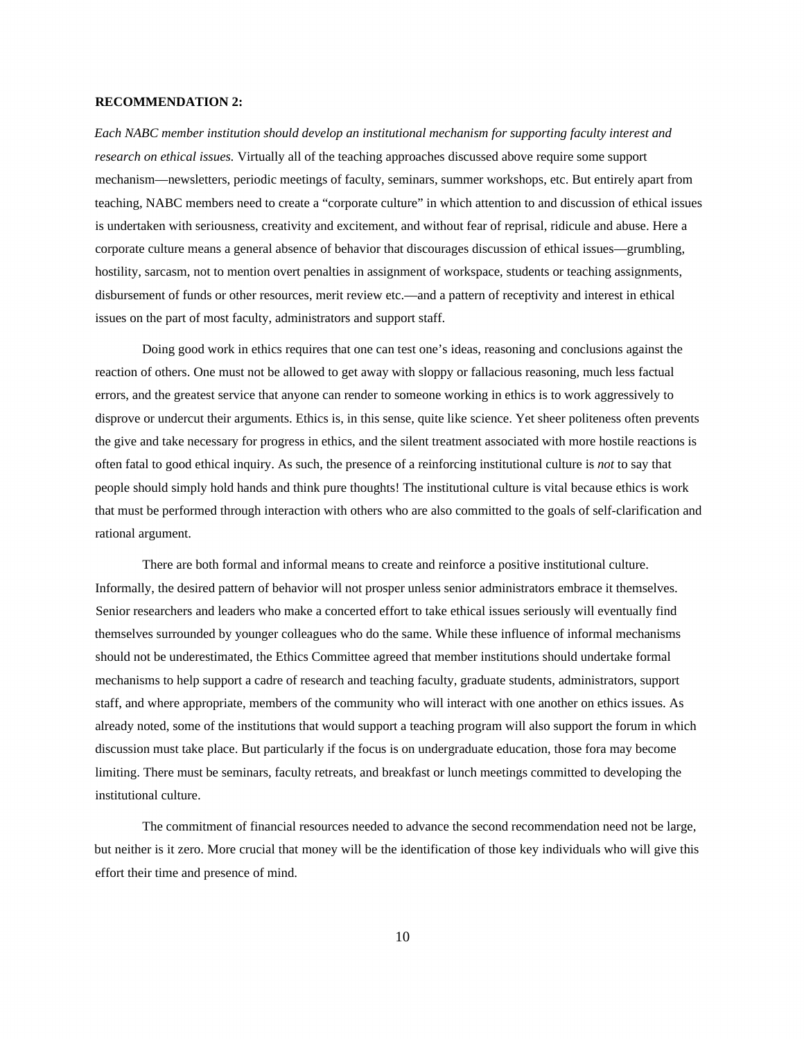# **RECOMMENDATION 2:**

*Each NABC member institution should develop an institutional mechanism for supporting faculty interest and research on ethical issues.* Virtually all of the teaching approaches discussed above require some support mechanism—newsletters, periodic meetings of faculty, seminars, summer workshops, etc. But entirely apart from teaching, NABC members need to create a "corporate culture" in which attention to and discussion of ethical issues is undertaken with seriousness, creativity and excitement, and without fear of reprisal, ridicule and abuse. Here a corporate culture means a general absence of behavior that discourages discussion of ethical issues—grumbling, hostility, sarcasm, not to mention overt penalties in assignment of workspace, students or teaching assignments, disbursement of funds or other resources, merit review etc.—and a pattern of receptivity and interest in ethical issues on the part of most faculty, administrators and support staff.

Doing good work in ethics requires that one can test one's ideas, reasoning and conclusions against the reaction of others. One must not be allowed to get away with sloppy or fallacious reasoning, much less factual errors, and the greatest service that anyone can render to someone working in ethics is to work aggressively to disprove or undercut their arguments. Ethics is, in this sense, quite like science. Yet sheer politeness often prevents the give and take necessary for progress in ethics, and the silent treatment associated with more hostile reactions is often fatal to good ethical inquiry. As such, the presence of a reinforcing institutional culture is *not* to say that people should simply hold hands and think pure thoughts! The institutional culture is vital because ethics is work that must be performed through interaction with others who are also committed to the goals of self-clarification and rational argument.

There are both formal and informal means to create and reinforce a positive institutional culture. Informally, the desired pattern of behavior will not prosper unless senior administrators embrace it themselves. Senior researchers and leaders who make a concerted effort to take ethical issues seriously will eventually find themselves surrounded by younger colleagues who do the same. While these influence of informal mechanisms should not be underestimated, the Ethics Committee agreed that member institutions should undertake formal mechanisms to help support a cadre of research and teaching faculty, graduate students, administrators, support staff, and where appropriate, members of the community who will interact with one another on ethics issues. As already noted, some of the institutions that would support a teaching program will also support the forum in which discussion must take place. But particularly if the focus is on undergraduate education, those fora may become limiting. There must be seminars, faculty retreats, and breakfast or lunch meetings committed to developing the institutional culture.

The commitment of financial resources needed to advance the second recommendation need not be large, but neither is it zero. More crucial that money will be the identification of those key individuals who will give this effort their time and presence of mind.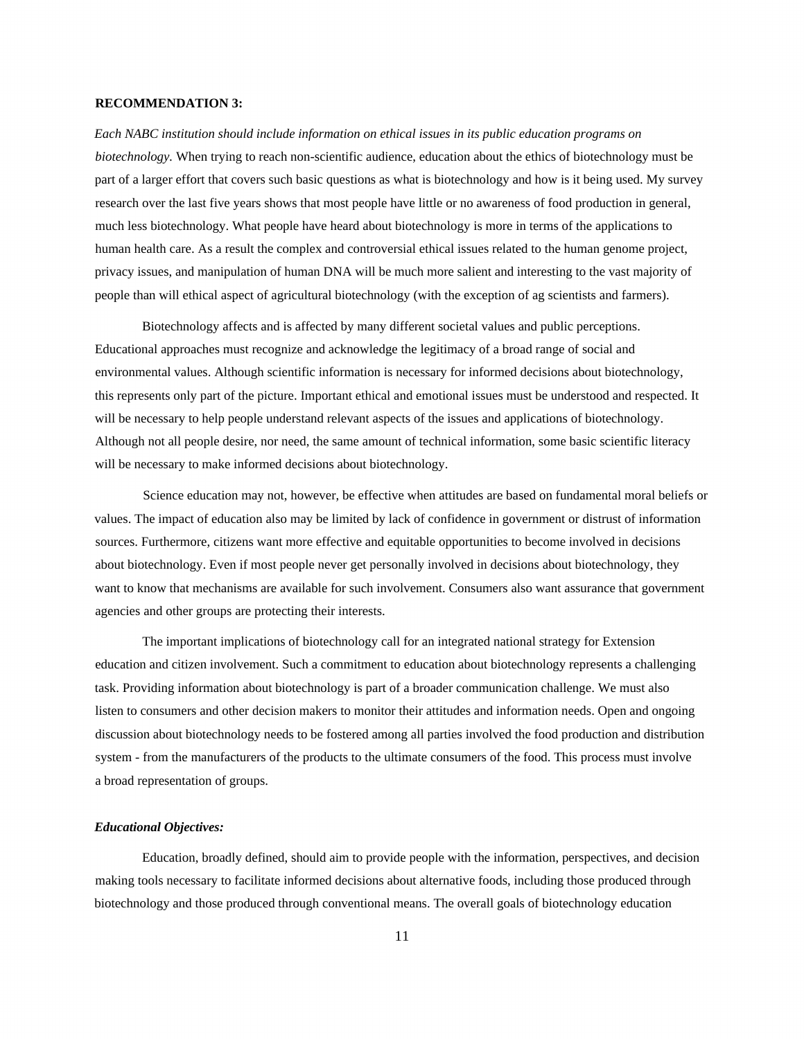# **RECOMMENDATION 3:**

*Each NABC institution should include information on ethical issues in its public education programs on biotechnology.* When trying to reach non-scientific audience, education about the ethics of biotechnology must be part of a larger effort that covers such basic questions as what is biotechnology and how is it being used. My survey research over the last five years shows that most people have little or no awareness of food production in general, much less biotechnology. What people have heard about biotechnology is more in terms of the applications to human health care. As a result the complex and controversial ethical issues related to the human genome project, privacy issues, and manipulation of human DNA will be much more salient and interesting to the vast majority of people than will ethical aspect of agricultural biotechnology (with the exception of ag scientists and farmers).

Biotechnology affects and is affected by many different societal values and public perceptions. Educational approaches must recognize and acknowledge the legitimacy of a broad range of social and environmental values. Although scientific information is necessary for informed decisions about biotechnology, this represents only part of the picture. Important ethical and emotional issues must be understood and respected. It will be necessary to help people understand relevant aspects of the issues and applications of biotechnology. Although not all people desire, nor need, the same amount of technical information, some basic scientific literacy will be necessary to make informed decisions about biotechnology.

Science education may not, however, be effective when attitudes are based on fundamental moral beliefs or values. The impact of education also may be limited by lack of confidence in government or distrust of information sources. Furthermore, citizens want more effective and equitable opportunities to become involved in decisions about biotechnology. Even if most people never get personally involved in decisions about biotechnology, they want to know that mechanisms are available for such involvement. Consumers also want assurance that government agencies and other groups are protecting their interests.

The important implications of biotechnology call for an integrated national strategy for Extension education and citizen involvement. Such a commitment to education about biotechnology represents a challenging task. Providing information about biotechnology is part of a broader communication challenge. We must also listen to consumers and other decision makers to monitor their attitudes and information needs. Open and ongoing discussion about biotechnology needs to be fostered among all parties involved the food production and distribution system - from the manufacturers of the products to the ultimate consumers of the food. This process must involve a broad representation of groups.

#### *Educational Objectives:*

Education, broadly defined, should aim to provide people with the information, perspectives, and decision making tools necessary to facilitate informed decisions about alternative foods, including those produced through biotechnology and those produced through conventional means. The overall goals of biotechnology education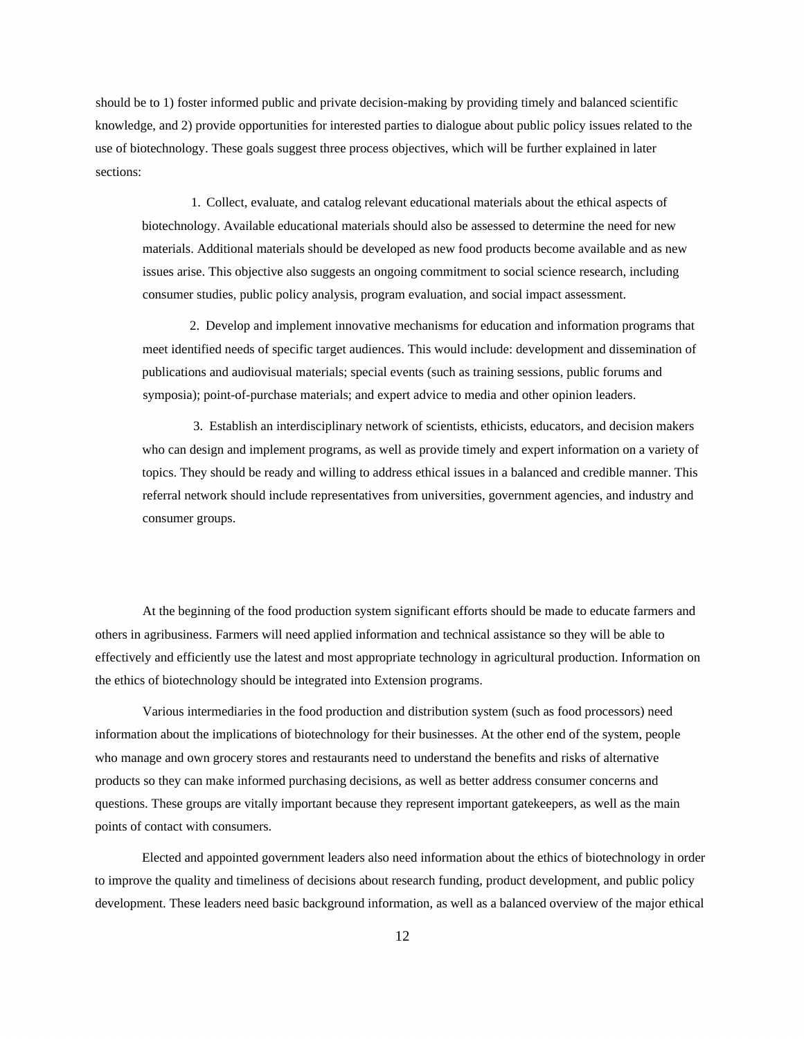should be to 1) foster informed public and private decision-making by providing timely and balanced scientific knowledge, and 2) provide opportunities for interested parties to dialogue about public policy issues related to the use of biotechnology. These goals suggest three process objectives, which will be further explained in later sections:

1. Collect, evaluate, and catalog relevant educational materials about the ethical aspects of biotechnology. Available educational materials should also be assessed to determine the need for new materials. Additional materials should be developed as new food products become available and as new issues arise. This objective also suggests an ongoing commitment to social science research, including consumer studies, public policy analysis, program evaluation, and social impact assessment.

2. Develop and implement innovative mechanisms for education and information programs that meet identified needs of specific target audiences. This would include: development and dissemination of publications and audiovisual materials; special events (such as training sessions, public forums and symposia); point-of-purchase materials; and expert advice to media and other opinion leaders.

3. Establish an interdisciplinary network of scientists, ethicists, educators, and decision makers who can design and implement programs, as well as provide timely and expert information on a variety of topics. They should be ready and willing to address ethical issues in a balanced and credible manner. This referral network should include representatives from universities, government agencies, and industry and consumer groups.

At the beginning of the food production system significant efforts should be made to educate farmers and others in agribusiness. Farmers will need applied information and technical assistance so they will be able to effectively and efficiently use the latest and most appropriate technology in agricultural production. Information on the ethics of biotechnology should be integrated into Extension programs.

Various intermediaries in the food production and distribution system (such as food processors) need information about the implications of biotechnology for their businesses. At the other end of the system, people who manage and own grocery stores and restaurants need to understand the benefits and risks of alternative products so they can make informed purchasing decisions, as well as better address consumer concerns and questions. These groups are vitally important because they represent important gatekeepers, as well as the main points of contact with consumers.

Elected and appointed government leaders also need information about the ethics of biotechnology in order to improve the quality and timeliness of decisions about research funding, product development, and public policy development. These leaders need basic background information, as well as a balanced overview of the major ethical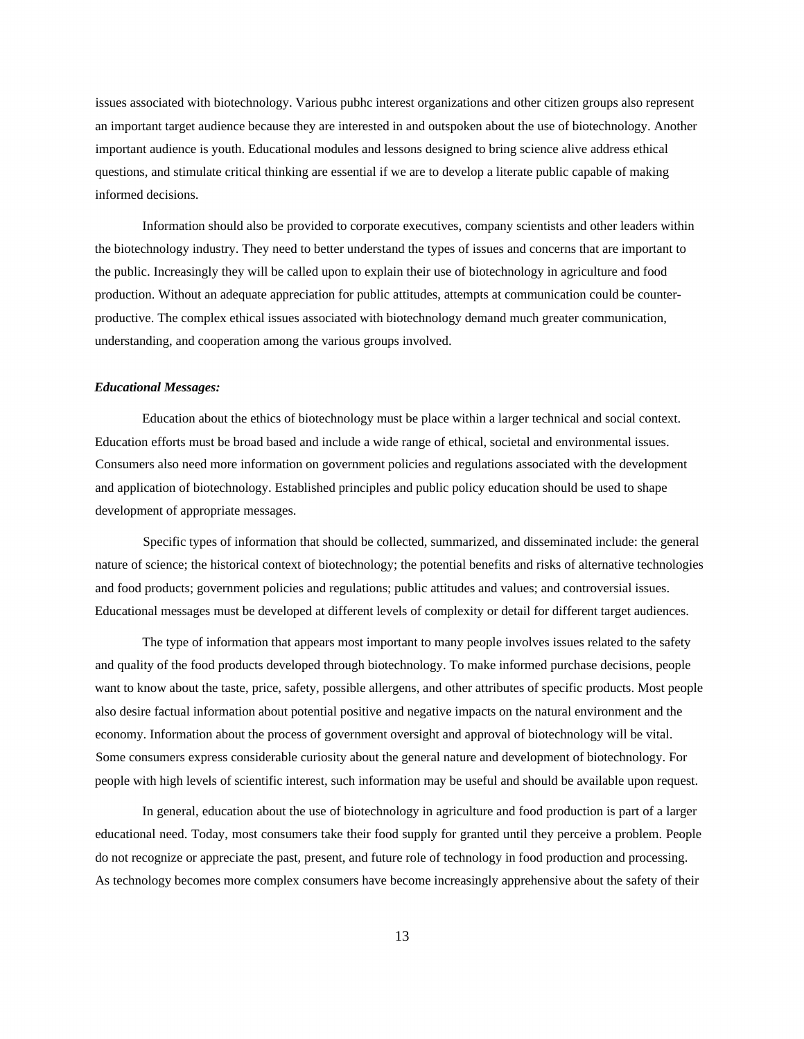issues associated with biotechnology. Various pubhc interest organizations and other citizen groups also represent an important target audience because they are interested in and outspoken about the use of biotechnology. Another important audience is youth. Educational modules and lessons designed to bring science alive address ethical questions, and stimulate critical thinking are essential if we are to develop a literate public capable of making informed decisions.

Information should also be provided to corporate executives, company scientists and other leaders within the biotechnology industry. They need to better understand the types of issues and concerns that are important to the public. Increasingly they will be called upon to explain their use of biotechnology in agriculture and food production. Without an adequate appreciation for public attitudes, attempts at communication could be counterproductive. The complex ethical issues associated with biotechnology demand much greater communication, understanding, and cooperation among the various groups involved.

# *Educational Messages:*

Education about the ethics of biotechnology must be place within a larger technical and social context. Education efforts must be broad based and include a wide range of ethical, societal and environmental issues. Consumers also need more information on government policies and regulations associated with the development and application of biotechnology. Established principles and public policy education should be used to shape development of appropriate messages.

Specific types of information that should be collected, summarized, and disseminated include: the general nature of science; the historical context of biotechnology; the potential benefits and risks of alternative technologies and food products; government policies and regulations; public attitudes and values; and controversial issues. Educational messages must be developed at different levels of complexity or detail for different target audiences.

The type of information that appears most important to many people involves issues related to the safety and quality of the food products developed through biotechnology. To make informed purchase decisions, people want to know about the taste, price, safety, possible allergens, and other attributes of specific products. Most people also desire factual information about potential positive and negative impacts on the natural environment and the economy. Information about the process of government oversight and approval of biotechnology will be vital. Some consumers express considerable curiosity about the general nature and development of biotechnology. For people with high levels of scientific interest, such information may be useful and should be available upon request.

In general, education about the use of biotechnology in agriculture and food production is part of a larger educational need. Today, most consumers take their food supply for granted until they perceive a problem. People do not recognize or appreciate the past, present, and future role of technology in food production and processing. As technology becomes more complex consumers have become increasingly apprehensive about the safety of their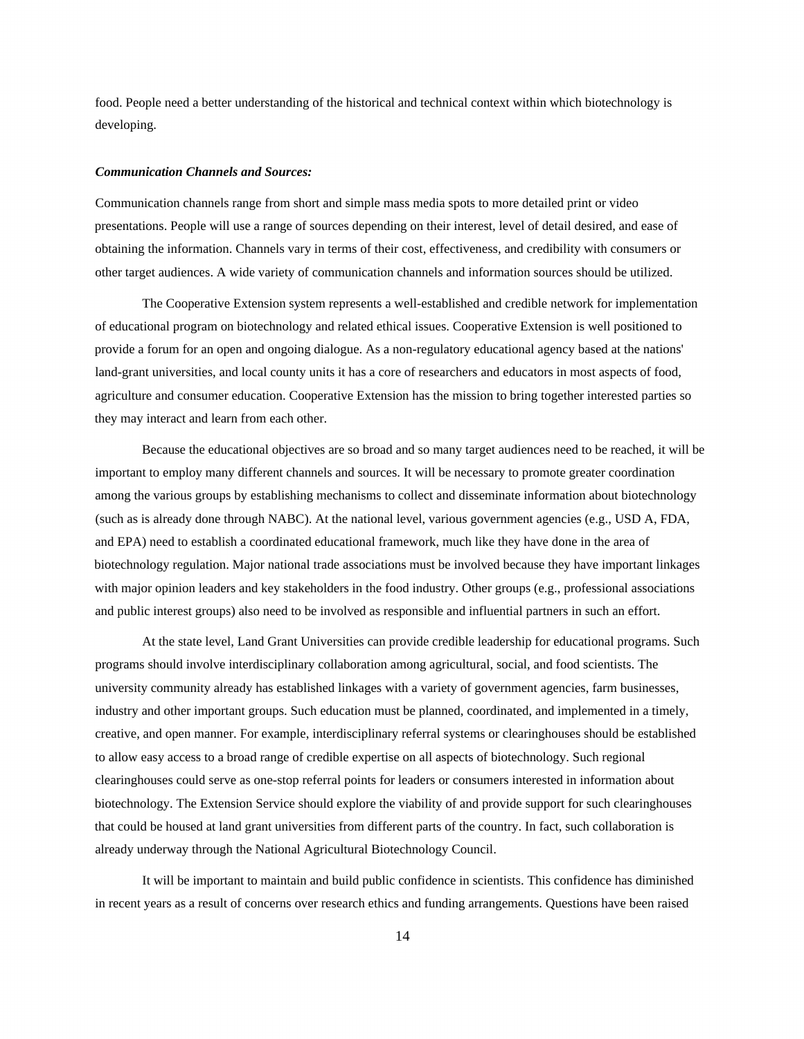food. People need a better understanding of the historical and technical context within which biotechnology is developing.

#### *Communication Channels and Sources:*

Communication channels range from short and simple mass media spots to more detailed print or video presentations. People will use a range of sources depending on their interest, level of detail desired, and ease of obtaining the information. Channels vary in terms of their cost, effectiveness, and credibility with consumers or other target audiences. A wide variety of communication channels and information sources should be utilized.

The Cooperative Extension system represents a well-established and credible network for implementation of educational program on biotechnology and related ethical issues. Cooperative Extension is well positioned to provide a forum for an open and ongoing dialogue. As a non-regulatory educational agency based at the nations' land-grant universities, and local county units it has a core of researchers and educators in most aspects of food, agriculture and consumer education. Cooperative Extension has the mission to bring together interested parties so they may interact and learn from each other.

Because the educational objectives are so broad and so many target audiences need to be reached, it will be important to employ many different channels and sources. It will be necessary to promote greater coordination among the various groups by establishing mechanisms to collect and disseminate information about biotechnology (such as is already done through NABC). At the national level, various government agencies (e.g., USD A, FDA, and EPA) need to establish a coordinated educational framework, much like they have done in the area of biotechnology regulation. Major national trade associations must be involved because they have important linkages with major opinion leaders and key stakeholders in the food industry. Other groups (e.g., professional associations and public interest groups) also need to be involved as responsible and influential partners in such an effort.

At the state level, Land Grant Universities can provide credible leadership for educational programs. Such programs should involve interdisciplinary collaboration among agricultural, social, and food scientists. The university community already has established linkages with a variety of government agencies, farm businesses, industry and other important groups. Such education must be planned, coordinated, and implemented in a timely, creative, and open manner. For example, interdisciplinary referral systems or clearinghouses should be established to allow easy access to a broad range of credible expertise on all aspects of biotechnology. Such regional clearinghouses could serve as one-stop referral points for leaders or consumers interested in information about biotechnology. The Extension Service should explore the viability of and provide support for such clearinghouses that could be housed at land grant universities from different parts of the country. In fact, such collaboration is already underway through the National Agricultural Biotechnology Council.

It will be important to maintain and build public confidence in scientists. This confidence has diminished in recent years as a result of concerns over research ethics and funding arrangements. Questions have been raised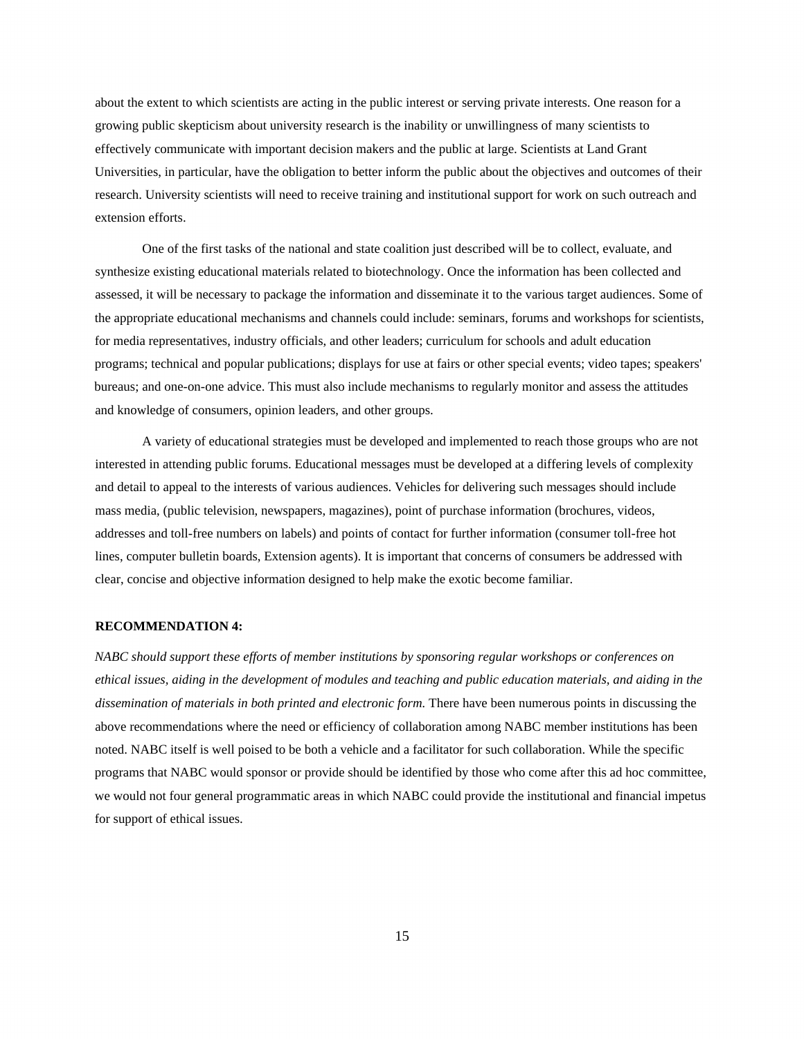about the extent to which scientists are acting in the public interest or serving private interests. One reason for a growing public skepticism about university research is the inability or unwillingness of many scientists to effectively communicate with important decision makers and the public at large. Scientists at Land Grant Universities, in particular, have the obligation to better inform the public about the objectives and outcomes of their research. University scientists will need to receive training and institutional support for work on such outreach and extension efforts.

One of the first tasks of the national and state coalition just described will be to collect, evaluate, and synthesize existing educational materials related to biotechnology. Once the information has been collected and assessed, it will be necessary to package the information and disseminate it to the various target audiences. Some of the appropriate educational mechanisms and channels could include: seminars, forums and workshops for scientists, for media representatives, industry officials, and other leaders; curriculum for schools and adult education programs; technical and popular publications; displays for use at fairs or other special events; video tapes; speakers' bureaus; and one-on-one advice. This must also include mechanisms to regularly monitor and assess the attitudes and knowledge of consumers, opinion leaders, and other groups.

A variety of educational strategies must be developed and implemented to reach those groups who are not interested in attending public forums. Educational messages must be developed at a differing levels of complexity and detail to appeal to the interests of various audiences. Vehicles for delivering such messages should include mass media, (public television, newspapers, magazines), point of purchase information (brochures, videos, addresses and toll-free numbers on labels) and points of contact for further information (consumer toll-free hot lines, computer bulletin boards, Extension agents). It is important that concerns of consumers be addressed with clear, concise and objective information designed to help make the exotic become familiar.

# **RECOMMENDATION 4:**

*NABC should support these efforts of member institutions by sponsoring regular workshops or conferences on ethical issues, aiding in the development of modules and teaching and public education materials, and aiding in the dissemination of materials in both printed and electronic form.* There have been numerous points in discussing the above recommendations where the need or efficiency of collaboration among NABC member institutions has been noted. NABC itself is well poised to be both a vehicle and a facilitator for such collaboration. While the specific programs that NABC would sponsor or provide should be identified by those who come after this ad hoc committee, we would not four general programmatic areas in which NABC could provide the institutional and financial impetus for support of ethical issues.